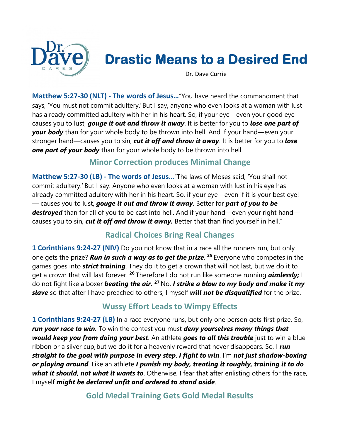

## **Drastic Means to a Desired End**

Dr. Dave Currie

**Matthew 5:27-30 (NLT) - The words of Jesus…**"You have heard the commandment that says, 'You must not commit adultery.' But I say, anyone who even looks at a woman with lust has already committed adultery with her in his heart. So, if your eye—even your good eye causes you to lust, *gouge it out and throw it away*. It is better for you to *lose one part of your body* than for your whole body to be thrown into hell. And if your hand—even your stronger hand—causes you to sin, *cut it off and throw it away*. It is better for you to *lose*  **one part of your body** than for your whole body to be thrown into hell.

#### **Minor Correction produces Minimal Change**

**Matthew 5:27-30 (LB) - The words of Jesus…**"The laws of Moses said, 'You shall not commit adultery.' But I say: Anyone who even looks at a woman with lust in his eye has already committed adultery with her in his heart. So, if your eye—even if it is your best eye! — causes you to lust, *gouge it out and throw it away*. Better for *part of you to be*  **destroyed** than for all of you to be cast into hell. And if your hand—even your right hand causes you to sin, *cut it off and throw it away.* Better that than find yourself in hell."

#### **Radical Choices Bring Real Changes**

**1 Corinthians 9:24-27 (NIV)** Do you not know that in a race all the runners run, but only one gets the prize? *Run in such a way as to get the prize*. **<sup>25</sup>** Everyone who competes in the games goes into *strict training*. They do it to get a crown that will not last, but we do it to get a crown that will last forever. **<sup>26</sup>** Therefore I do not run like someone running *aimlessly;* I do not fight like a boxer *beating the air.* **<sup>27</sup>** No, *I strike a blow to my body and make it my slave* so that after I have preached to others, I myself *will not be disqualified* for the prize.

#### **Wussy Effort Leads to Wimpy Effects**

**1 Corinthians 9:24-27 (LB)** In a race everyone runs, but only one person gets first prize. So, *run your race to win.* To win the contest you must *deny yourselves many things that would keep you from doing your best*. An athlete *goes to all this trouble* just to win a blue ribbon or a silver cup, but we do it for a heavenly reward that never disappears. So, I run *straight to the goal with purpose in every step*. *I fight to win*. I'm *not just shadow-boxing or playing around*. Like an athlete *I punish my body, treating it roughly, training it to do what it should, not what it wants to*. Otherwise, I fear that after enlisting others for the race, I myself *might be declared unfit and ordered to stand aside*.

#### **Gold Medal Training Gets Gold Medal Results**